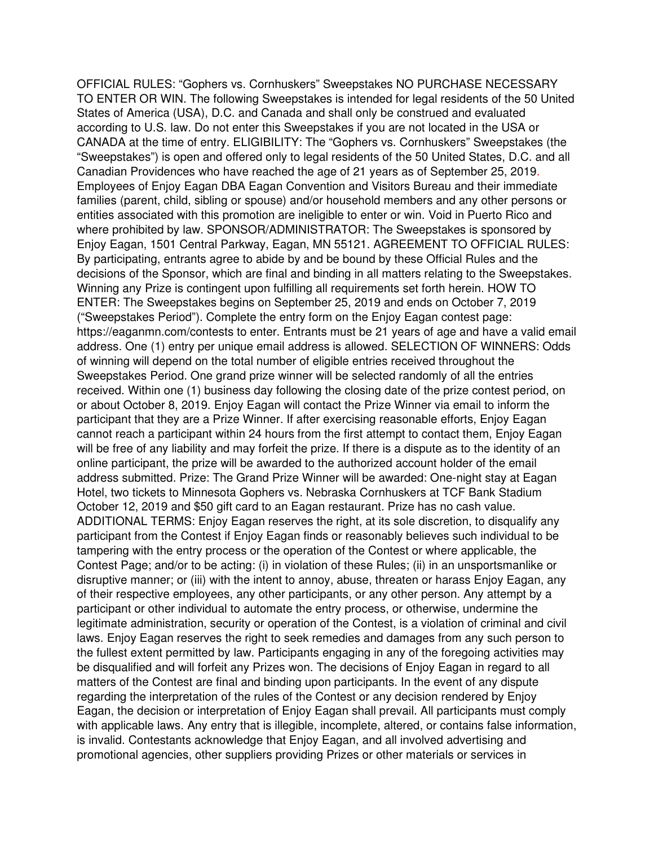OFFICIAL RULES: "Gophers vs. Cornhuskers" Sweepstakes NO PURCHASE NECESSARY TO ENTER OR WIN. The following Sweepstakes is intended for legal residents of the 50 United States of America (USA), D.C. and Canada and shall only be construed and evaluated according to U.S. law. Do not enter this Sweepstakes if you are not located in the USA or CANADA at the time of entry. ELIGIBILITY: The "Gophers vs. Cornhuskers" Sweepstakes (the "Sweepstakes") is open and offered only to legal residents of the 50 United States, D.C. and all Canadian Providences who have reached the age of 21 years as of September 25, 2019. Employees of Enjoy Eagan DBA Eagan Convention and Visitors Bureau and their immediate families (parent, child, sibling or spouse) and/or household members and any other persons or entities associated with this promotion are ineligible to enter or win. Void in Puerto Rico and where prohibited by law. SPONSOR/ADMINISTRATOR: The Sweepstakes is sponsored by Enjoy Eagan, 1501 Central Parkway, Eagan, MN 55121. AGREEMENT TO OFFICIAL RULES: By participating, entrants agree to abide by and be bound by these Official Rules and the decisions of the Sponsor, which are final and binding in all matters relating to the Sweepstakes. Winning any Prize is contingent upon fulfilling all requirements set forth herein. HOW TO ENTER: The Sweepstakes begins on September 25, 2019 and ends on October 7, 2019 ("Sweepstakes Period"). Complete the entry form on the Enjoy Eagan contest page: https://eaganmn.com/contests to enter. Entrants must be 21 years of age and have a valid email address. One (1) entry per unique email address is allowed. SELECTION OF WINNERS: Odds of winning will depend on the total number of eligible entries received throughout the Sweepstakes Period. One grand prize winner will be selected randomly of all the entries received. Within one (1) business day following the closing date of the prize contest period, on or about October 8, 2019. Enjoy Eagan will contact the Prize Winner via email to inform the participant that they are a Prize Winner. If after exercising reasonable efforts, Enjoy Eagan cannot reach a participant within 24 hours from the first attempt to contact them, Enjoy Eagan will be free of any liability and may forfeit the prize. If there is a dispute as to the identity of an online participant, the prize will be awarded to the authorized account holder of the email address submitted. Prize: The Grand Prize Winner will be awarded: One-night stay at Eagan Hotel, two tickets to Minnesota Gophers vs. Nebraska Cornhuskers at TCF Bank Stadium October 12, 2019 and \$50 gift card to an Eagan restaurant. Prize has no cash value. ADDITIONAL TERMS: Enjoy Eagan reserves the right, at its sole discretion, to disqualify any participant from the Contest if Enjoy Eagan finds or reasonably believes such individual to be tampering with the entry process or the operation of the Contest or where applicable, the Contest Page; and/or to be acting: (i) in violation of these Rules; (ii) in an unsportsmanlike or disruptive manner; or (iii) with the intent to annoy, abuse, threaten or harass Enjoy Eagan, any of their respective employees, any other participants, or any other person. Any attempt by a participant or other individual to automate the entry process, or otherwise, undermine the legitimate administration, security or operation of the Contest, is a violation of criminal and civil laws. Enjoy Eagan reserves the right to seek remedies and damages from any such person to the fullest extent permitted by law. Participants engaging in any of the foregoing activities may be disqualified and will forfeit any Prizes won. The decisions of Enjoy Eagan in regard to all matters of the Contest are final and binding upon participants. In the event of any dispute regarding the interpretation of the rules of the Contest or any decision rendered by Enjoy Eagan, the decision or interpretation of Enjoy Eagan shall prevail. All participants must comply with applicable laws. Any entry that is illegible, incomplete, altered, or contains false information, is invalid. Contestants acknowledge that Enjoy Eagan, and all involved advertising and promotional agencies, other suppliers providing Prizes or other materials or services in